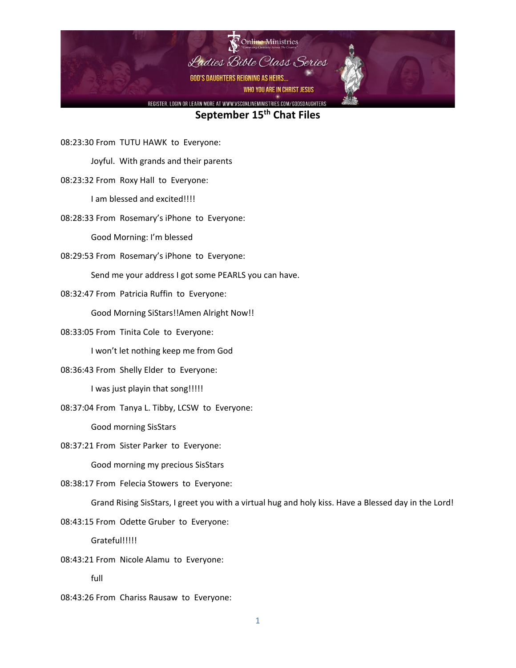

08:23:30 From TUTU HAWK to Everyone:

Joyful. With grands and their parents

## 08:23:32 From Roxy Hall to Everyone:

I am blessed and excited!!!!

08:28:33 From Rosemary's iPhone to Everyone:

Good Morning: I'm blessed

08:29:53 From Rosemary's iPhone to Everyone:

Send me your address I got some PEARLS you can have.

08:32:47 From Patricia Ruffin to Everyone:

Good Morning SiStars!!Amen Alright Now!!

08:33:05 From Tinita Cole to Everyone:

I won't let nothing keep me from God

08:36:43 From Shelly Elder to Everyone:

I was just playin that song!!!!!

08:37:04 From Tanya L. Tibby, LCSW to Everyone:

Good morning SisStars

08:37:21 From Sister Parker to Everyone:

Good morning my precious SisStars

08:38:17 From Felecia Stowers to Everyone:

Grand Rising SisStars, I greet you with a virtual hug and holy kiss. Have a Blessed day in the Lord!

08:43:15 From Odette Gruber to Everyone:

Grateful!!!!!

08:43:21 From Nicole Alamu to Everyone:

- full
- 08:43:26 From Chariss Rausaw to Everyone: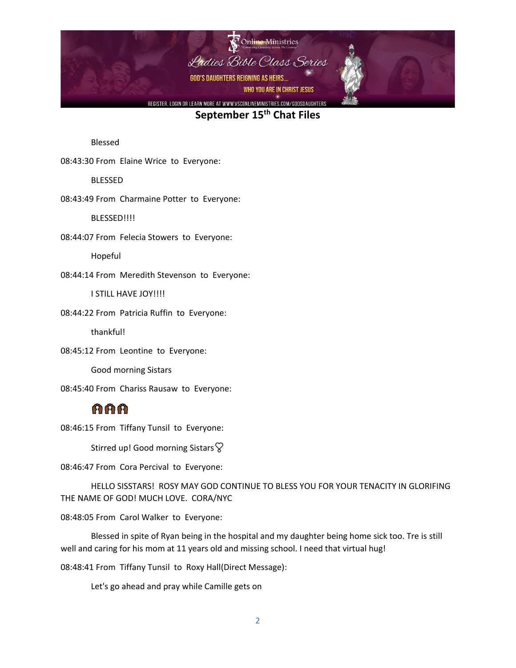

Blessed

08:43:30 From Elaine Wrice to Everyone:

BLESSED

08:43:49 From Charmaine Potter to Everyone:

BLESSED!!!!

08:44:07 From Felecia Stowers to Everyone:

Hopeful

08:44:14 From Meredith Stevenson to Everyone:

I STILL HAVE JOY!!!!

08:44:22 From Patricia Ruffin to Everyone:

thankful!

08:45:12 From Leontine to Everyone:

Good morning Sistars

08:45:40 From Chariss Rausaw to Everyone:

## mmm.

08:46:15 From Tiffany Tunsil to Everyone:

Stirred up! Good morning Sistars  $\heartsuit$ 

08:46:47 From Cora Percival to Everyone:

HELLO SISSTARS! ROSY MAY GOD CONTINUE TO BLESS YOU FOR YOUR TENACITY IN GLORIFING THE NAME OF GOD! MUCH LOVE. CORA/NYC

08:48:05 From Carol Walker to Everyone:

Blessed in spite of Ryan being in the hospital and my daughter being home sick too. Tre is still well and caring for his mom at 11 years old and missing school. I need that virtual hug!

08:48:41 From Tiffany Tunsil to Roxy Hall(Direct Message):

Let's go ahead and pray while Camille gets on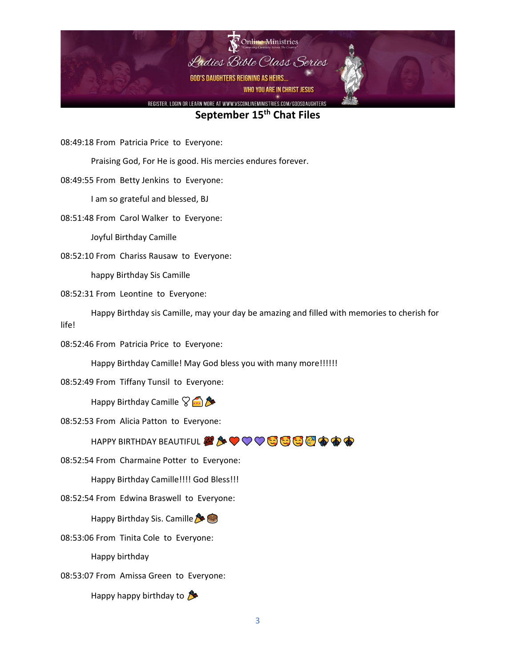

08:49:18 From Patricia Price to Everyone:

Praising God, For He is good. His mercies endures forever.

08:49:55 From Betty Jenkins to Everyone:

I am so grateful and blessed, BJ

08:51:48 From Carol Walker to Everyone:

Joyful Birthday Camille

08:52:10 From Chariss Rausaw to Everyone:

happy Birthday Sis Camille

08:52:31 From Leontine to Everyone:

Happy Birthday sis Camille, may your day be amazing and filled with memories to cherish for life!

08:52:46 From Patricia Price to Everyone:

Happy Birthday Camille! May God bless you with many more!!!!!!

08:52:49 From Tiffany Tunsil to Everyone:

Happy Birthday Camille  $\sqrt{\frac{A}{n}}$ 

08:52:53 From Alicia Patton to Everyone:

HAPPY BIRTHDAY BEAUTIFUL *2 <del>A</del>* ♥ ♥ ♥ ♥ <del>©</del> © © © © <mark>©</mark> ● ● ●

08:52:54 From Charmaine Potter to Everyone:

Happy Birthday Camille!!!! God Bless!!!

08:52:54 From Edwina Braswell to Everyone:

Happy Birthday Sis. Camille

08:53:06 From Tinita Cole to Everyone:

Happy birthday

08:53:07 From Amissa Green to Everyone:

Happy happy birthday to  $\mathcal{F}$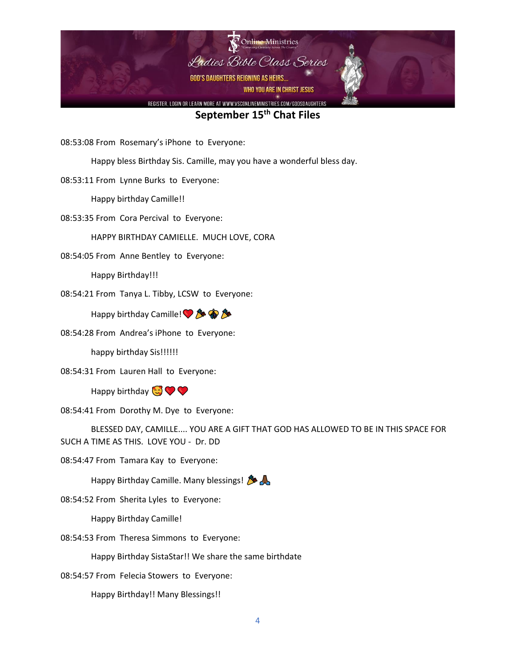

08:53:08 From Rosemary's iPhone to Everyone:

Happy bless Birthday Sis. Camille, may you have a wonderful bless day.

08:53:11 From Lynne Burks to Everyone:

Happy birthday Camille!!

08:53:35 From Cora Percival to Everyone:

HAPPY BIRTHDAY CAMIELLE. MUCH LOVE, CORA

08:54:05 From Anne Bentley to Everyone:

Happy Birthday!!!

08:54:21 From Tanya L. Tibby, LCSW to Everyone:

Happy birthday Camille! • 多金多

08:54:28 From Andrea's iPhone to Everyone:

happy birthday Sis!!!!!!

08:54:31 From Lauren Hall to Everyone:

Happy birthday  $\bigcirc$ 

08:54:41 From Dorothy M. Dye to Everyone:

BLESSED DAY, CAMILLE.... YOU ARE A GIFT THAT GOD HAS ALLOWED TO BE IN THIS SPACE FOR SUCH A TIME AS THIS. LOVE YOU - Dr. DD

08:54:47 From Tamara Kay to Everyone:

Happy Birthday Camille. Many blessings!

08:54:52 From Sherita Lyles to Everyone:

Happy Birthday Camille!

08:54:53 From Theresa Simmons to Everyone:

Happy Birthday SistaStar!! We share the same birthdate

08:54:57 From Felecia Stowers to Everyone:

Happy Birthday!! Many Blessings!!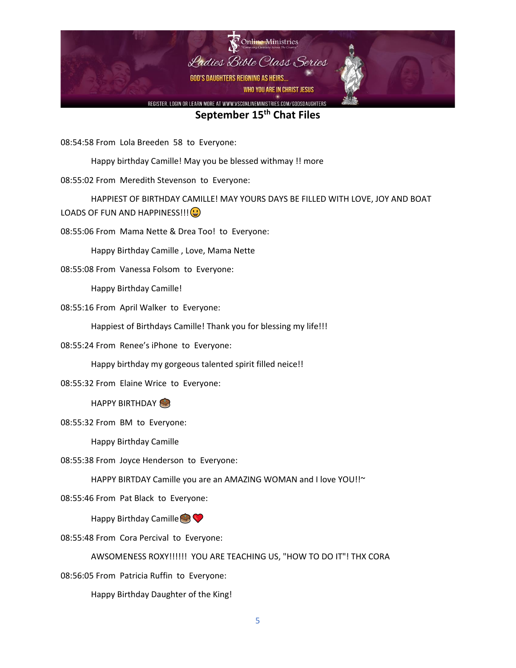

08:54:58 From Lola Breeden 58 to Everyone:

Happy birthday Camille! May you be blessed withmay !! more

08:55:02 From Meredith Stevenson to Everyone:

HAPPIEST OF BIRTHDAY CAMILLE! MAY YOURS DAYS BE FILLED WITH LOVE, JOY AND BOAT LOADS OF FUN AND HAPPINESS!!!

08:55:06 From Mama Nette & Drea Too! to Everyone:

Happy Birthday Camille , Love, Mama Nette

08:55:08 From Vanessa Folsom to Everyone:

Happy Birthday Camille!

08:55:16 From April Walker to Everyone:

Happiest of Birthdays Camille! Thank you for blessing my life!!!

08:55:24 From Renee's iPhone to Everyone:

Happy birthday my gorgeous talented spirit filled neice!!

08:55:32 From Elaine Wrice to Everyone:

HAPPY BIRTHDAY

08:55:32 From BM to Everyone:

Happy Birthday Camille

08:55:38 From Joyce Henderson to Everyone:

HAPPY BIRTDAY Camille you are an AMAZING WOMAN and I love YOU!!~

08:55:46 From Pat Black to Everyone:

Happy Birthday Camille  $\bigcirc$ 

08:55:48 From Cora Percival to Everyone:

AWSOMENESS ROXY!!!!!! YOU ARE TEACHING US, "HOW TO DO IT"! THX CORA

08:56:05 From Patricia Ruffin to Everyone:

Happy Birthday Daughter of the King!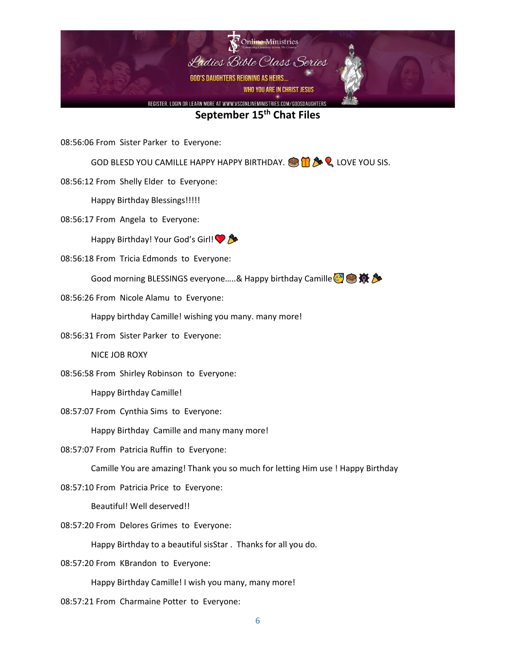

08:56:06 From Sister Parker to Everyone:

GOD BLESD YOU CAMILLE HAPPY HAPPY BIRTHDAY.  $\bigcirc \mathbf{\hat{H}} \mathbf{\hat{B}} \mathbf{\hat{Q}}$  LOVE YOU SIS.

08:56:12 From Shelly Elder to Everyone:

Happy Birthday Blessings!!!!!

08:56:17 From Angela to Everyone:

Happy Birthday! Your God's Girl!

08:56:18 From Tricia Edmonds to Everyone:

Good morning BLESSINGS everyone.....& Happy birthday Camille

08:56:26 From Nicole Alamu to Everyone:

Happy birthday Camille! wishing you many. many more!

08:56:31 From Sister Parker to Everyone:

NICE JOB ROXY

08:56:58 From Shirley Robinson to Everyone:

Happy Birthday Camille!

08:57:07 From Cynthia Sims to Everyone:

Happy Birthday Camille and many many more!

08:57:07 From Patricia Ruffin to Everyone:

Camille You are amazing! Thank you so much for letting Him use ! Happy Birthday

08:57:10 From Patricia Price to Everyone:

Beautiful! Well deserved!!

08:57:20 From Delores Grimes to Everyone:

Happy Birthday to a beautiful sisStar . Thanks for all you do.

08:57:20 From KBrandon to Everyone:

Happy Birthday Camille! I wish you many, many more!

08:57:21 From Charmaine Potter to Everyone: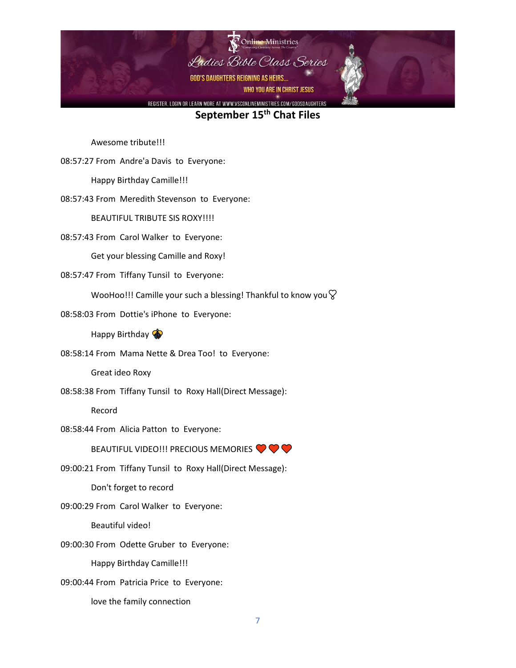

Awesome tribute!!!

08:57:27 From Andre'a Davis to Everyone:

Happy Birthday Camille!!!

08:57:43 From Meredith Stevenson to Everyone:

BEAUTIFUL TRIBUTE SIS ROXY!!!!

08:57:43 From Carol Walker to Everyone:

Get your blessing Camille and Roxy!

08:57:47 From Tiffany Tunsil to Everyone:

WooHoo!!! Camille your such a blessing! Thankful to know you  $\heartsuit$ 

08:58:03 From Dottie's iPhone to Everyone:

Happy Birthday

08:58:14 From Mama Nette & Drea Too! to Everyone:

Great ideo Roxy

08:58:38 From Tiffany Tunsil to Roxy Hall(Direct Message):

Record

08:58:44 From Alicia Patton to Everyone:

BEAUTIFUL VIDEO!!! PRECIOUS MEMORIES <sup>O</sup>

09:00:21 From Tiffany Tunsil to Roxy Hall(Direct Message):

Don't forget to record

09:00:29 From Carol Walker to Everyone:

Beautiful video!

09:00:30 From Odette Gruber to Everyone:

Happy Birthday Camille!!!

09:00:44 From Patricia Price to Everyone:

love the family connection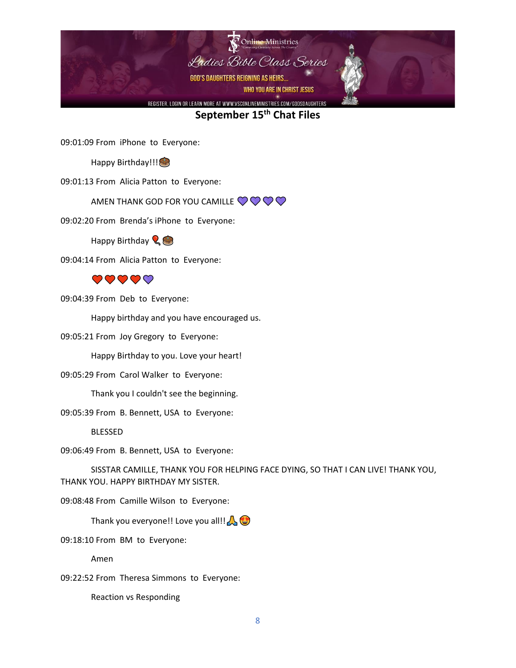

09:01:09 From iPhone to Everyone:

Happy Birthday!!!

09:01:13 From Alicia Patton to Everyone:

AMEN THANK GOD FOR YOU CAMILLE  $\bigcirc \bigcirc \bigcirc \bigcirc$ 

09:02:20 From Brenda's iPhone to Everyone:

Happy Birthday  $\mathbb{Q}$ 

09:04:14 From Alicia Patton to Everyone:



09:04:39 From Deb to Everyone:

Happy birthday and you have encouraged us.

09:05:21 From Joy Gregory to Everyone:

Happy Birthday to you. Love your heart!

09:05:29 From Carol Walker to Everyone:

Thank you I couldn't see the beginning.

09:05:39 From B. Bennett, USA to Everyone:

BLESSED

09:06:49 From B. Bennett, USA to Everyone:

SISSTAR CAMILLE, THANK YOU FOR HELPING FACE DYING, SO THAT I CAN LIVE! THANK YOU, THANK YOU. HAPPY BIRTHDAY MY SISTER.

09:08:48 From Camille Wilson to Everyone:

Thank you everyone!! Love you all!!

09:18:10 From BM to Everyone:

Amen

09:22:52 From Theresa Simmons to Everyone:

Reaction vs Responding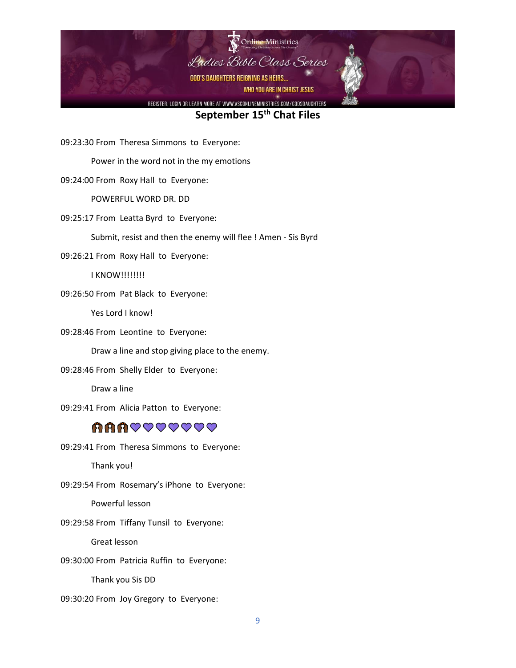

09:23:30 From Theresa Simmons to Everyone:

Power in the word not in the my emotions

09:24:00 From Roxy Hall to Everyone:

POWERFUL WORD DR. DD

09:25:17 From Leatta Byrd to Everyone:

Submit, resist and then the enemy will flee ! Amen - Sis Byrd

09:26:21 From Roxy Hall to Everyone:

I KNOW!!!!!!!!

09:26:50 From Pat Black to Everyone:

Yes Lord I know!

09:28:46 From Leontine to Everyone:

Draw a line and stop giving place to the enemy.

09:28:46 From Shelly Elder to Everyone:

Draw a line

09:29:41 From Alicia Patton to Everyone:

## **AAAVVVVVVV**

09:29:41 From Theresa Simmons to Everyone:

Thank you!

09:29:54 From Rosemary's iPhone to Everyone:

Powerful lesson

09:29:58 From Tiffany Tunsil to Everyone:

Great lesson

09:30:00 From Patricia Ruffin to Everyone:

Thank you Sis DD

09:30:20 From Joy Gregory to Everyone: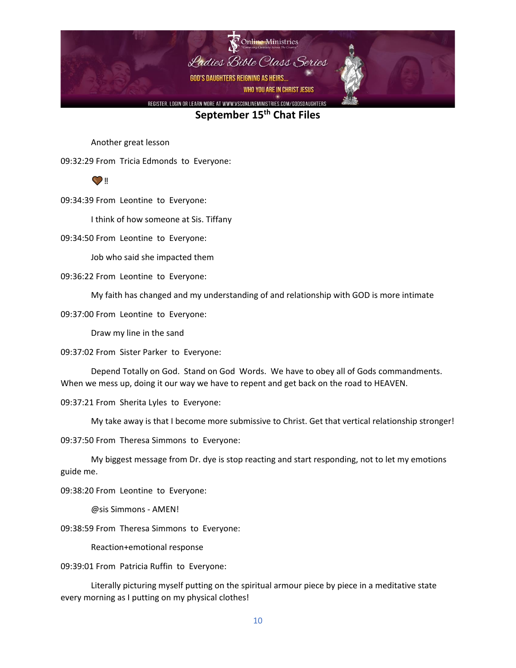

Another great lesson

09:32:29 From Tricia Edmonds to Everyone:

 $\odot$  ii

09:34:39 From Leontine to Everyone:

I think of how someone at Sis. Tiffany

09:34:50 From Leontine to Everyone:

Job who said she impacted them

09:36:22 From Leontine to Everyone:

My faith has changed and my understanding of and relationship with GOD is more intimate

09:37:00 From Leontine to Everyone:

Draw my line in the sand

09:37:02 From Sister Parker to Everyone:

Depend Totally on God. Stand on God Words. We have to obey all of Gods commandments. When we mess up, doing it our way we have to repent and get back on the road to HEAVEN.

09:37:21 From Sherita Lyles to Everyone:

My take away is that I become more submissive to Christ. Get that vertical relationship stronger!

09:37:50 From Theresa Simmons to Everyone:

My biggest message from Dr. dye is stop reacting and start responding, not to let my emotions guide me.

09:38:20 From Leontine to Everyone:

@sis Simmons - AMEN!

09:38:59 From Theresa Simmons to Everyone:

Reaction+emotional response

09:39:01 From Patricia Ruffin to Everyone:

Literally picturing myself putting on the spiritual armour piece by piece in a meditative state every morning as I putting on my physical clothes!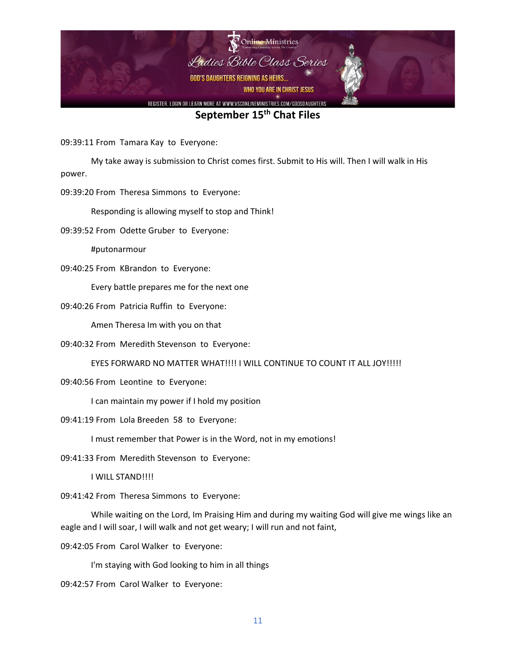

09:39:11 From Tamara Kay to Everyone:

My take away is submission to Christ comes first. Submit to His will. Then I will walk in His power.

09:39:20 From Theresa Simmons to Everyone:

Responding is allowing myself to stop and Think!

09:39:52 From Odette Gruber to Everyone:

#putonarmour

09:40:25 From KBrandon to Everyone:

Every battle prepares me for the next one

09:40:26 From Patricia Ruffin to Everyone:

Amen Theresa Im with you on that

09:40:32 From Meredith Stevenson to Everyone:

EYES FORWARD NO MATTER WHAT!!!! I WILL CONTINUE TO COUNT IT ALL JOY!!!!!

09:40:56 From Leontine to Everyone:

I can maintain my power if I hold my position

09:41:19 From Lola Breeden 58 to Everyone:

I must remember that Power is in the Word, not in my emotions!

09:41:33 From Meredith Stevenson to Everyone:

I WILL STAND!!!!

09:41:42 From Theresa Simmons to Everyone:

While waiting on the Lord, Im Praising Him and during my waiting God will give me wings like an eagle and I will soar, I will walk and not get weary; I will run and not faint,

09:42:05 From Carol Walker to Everyone:

I'm staying with God looking to him in all things

09:42:57 From Carol Walker to Everyone: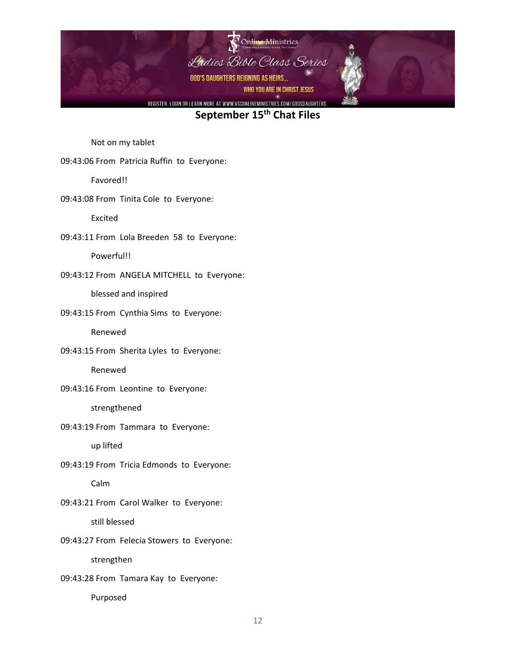

Not on my tablet

09:43:06 From Patricia Ruffin to Everyone:

Favored!!

09:43:08 From Tinita Cole to Everyone:

Excited

09:43:11 From Lola Breeden 58 to Everyone:

Powerful!!

09:43:12 From ANGELA MITCHELL to Everyone:

blessed and inspired

09:43:15 From Cynthia Sims to Everyone:

Renewed

09:43:15 From Sherita Lyles to Everyone:

Renewed

09:43:16 From Leontine to Everyone:

strengthened

09:43:19 From Tammara to Everyone:

up lifted

09:43:19 From Tricia Edmonds to Everyone:

Calm

09:43:21 From Carol Walker to Everyone:

still blessed

09:43:27 From Felecia Stowers to Everyone:

strengthen

09:43:28 From Tamara Kay to Everyone:

Purposed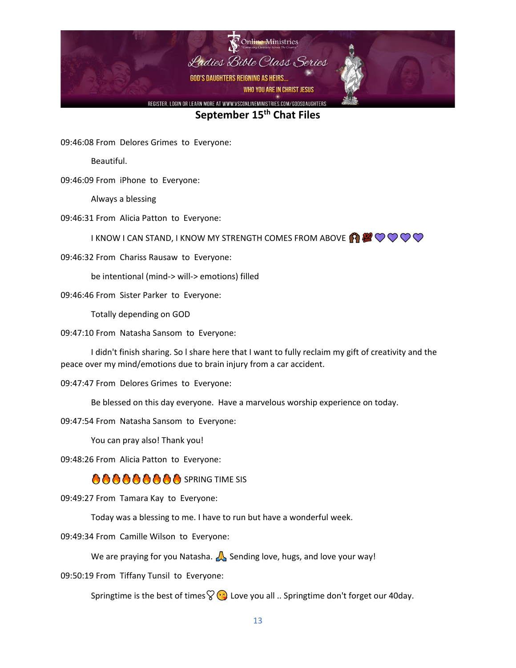

09:46:08 From Delores Grimes to Everyone:

Beautiful.

09:46:09 From iPhone to Everyone:

Always a blessing

09:46:31 From Alicia Patton to Everyone:

I KNOW I CAN STAND, I KNOW MY STRENGTH COMES FROM ABOVE  $\bigcirc \mathbb{Z} \mathbb{C} \bigcirc \mathbb{C} \bigcirc$ 

09:46:32 From Chariss Rausaw to Everyone:

be intentional (mind-> will-> emotions) filled

09:46:46 From Sister Parker to Everyone:

Totally depending on GOD

09:47:10 From Natasha Sansom to Everyone:

I didn't finish sharing. So l share here that I want to fully reclaim my gift of creativity and the peace over my mind/emotions due to brain injury from a car accident.

09:47:47 From Delores Grimes to Everyone:

Be blessed on this day everyone. Have a marvelous worship experience on today.

09:47:54 From Natasha Sansom to Everyone:

You can pray also! Thank you!

09:48:26 From Alicia Patton to Everyone:

## **AAAAAAAA** spring time sis

09:49:27 From Tamara Kay to Everyone:

Today was a blessing to me. I have to run but have a wonderful week.

09:49:34 From Camille Wilson to Everyone:

We are praying for you Natasha.  $\triangle$  Sending love, hugs, and love your way!

09:50:19 From Tiffany Tunsil to Everyone:

Springtime is the best of times  $\sqrt{2}$  Love you all .. Springtime don't forget our 40 day.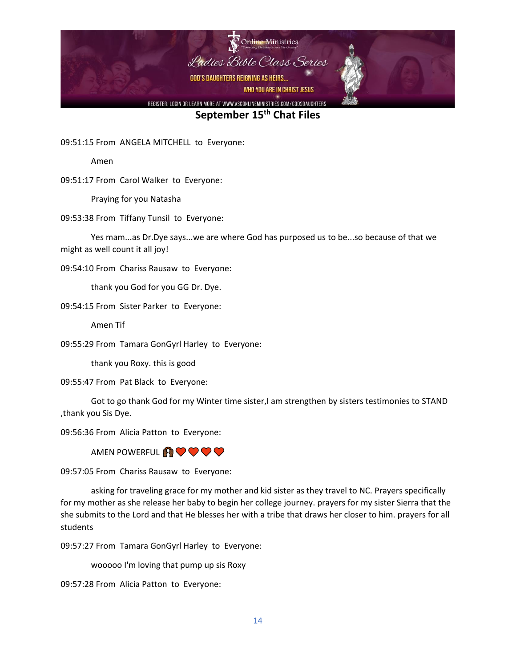

09:51:15 From ANGELA MITCHELL to Everyone:

Amen

09:51:17 From Carol Walker to Everyone:

Praying for you Natasha

09:53:38 From Tiffany Tunsil to Everyone:

Yes mam...as Dr.Dye says...we are where God has purposed us to be...so because of that we might as well count it all joy!

09:54:10 From Chariss Rausaw to Everyone:

thank you God for you GG Dr. Dye.

09:54:15 From Sister Parker to Everyone:

Amen Tif

09:55:29 From Tamara GonGyrl Harley to Everyone:

thank you Roxy. this is good

09:55:47 From Pat Black to Everyone:

Got to go thank God for my Winter time sister,I am strengthen by sisters testimonies to STAND ,thank you Sis Dye.

09:56:36 From Alicia Patton to Everyone:

AMEN POWERFUL **AV V V V** 

09:57:05 From Chariss Rausaw to Everyone:

asking for traveling grace for my mother and kid sister as they travel to NC. Prayers specifically for my mother as she release her baby to begin her college journey. prayers for my sister Sierra that the she submits to the Lord and that He blesses her with a tribe that draws her closer to him. prayers for all students

09:57:27 From Tamara GonGyrl Harley to Everyone:

wooooo I'm loving that pump up sis Roxy

09:57:28 From Alicia Patton to Everyone: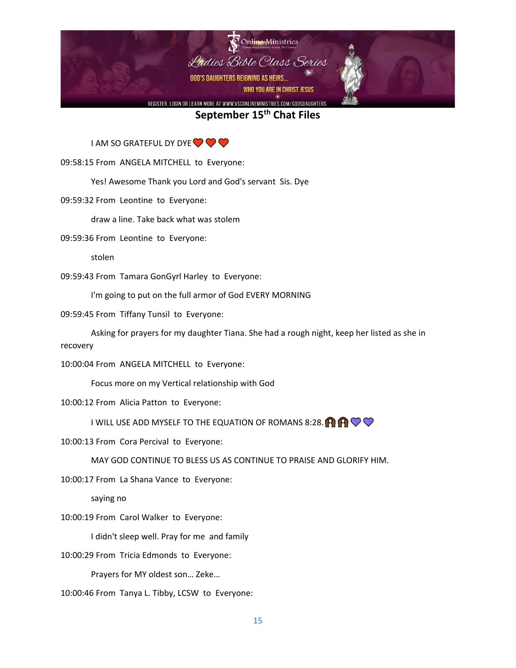

I AM SO GRATEFUL DY DYE **OO OP** 

09:58:15 From ANGELA MITCHELL to Everyone:

Yes! Awesome Thank you Lord and God's servant Sis. Dye

09:59:32 From Leontine to Everyone:

draw a line. Take back what was stolem

09:59:36 From Leontine to Everyone:

stolen

09:59:43 From Tamara GonGyrl Harley to Everyone:

I'm going to put on the full armor of God EVERY MORNING

09:59:45 From Tiffany Tunsil to Everyone:

Asking for prayers for my daughter Tiana. She had a rough night, keep her listed as she in recovery

10:00:04 From ANGELA MITCHELL to Everyone:

Focus more on my Vertical relationship with God

10:00:12 From Alicia Patton to Everyone:

I WILL USE ADD MYSELF TO THE EQUATION OF ROMANS 8:28.  $\bigoplus_{i=1}^n \bigotimes_{i=1}^n \bigotimes_{i=1}^n \bigotimes_{i=1}^n \bigotimes_{i=1}^n \bigotimes_{i=1}^n \bigotimes_{i=1}^n \bigotimes_{i=1}^n \bigotimes_{i=1}^n \bigotimes_{i=1}^n \bigotimes_{i=1}^n \bigotimes_{i=1}^n \bigotimes_{i=1}^n \bigotimes_{i=1}^n \bigotimes_{i=1}^n \$ 

10:00:13 From Cora Percival to Everyone:

MAY GOD CONTINUE TO BLESS US AS CONTINUE TO PRAISE AND GLORIFY HIM.

10:00:17 From La Shana Vance to Everyone:

saying no

10:00:19 From Carol Walker to Everyone:

I didn't sleep well. Pray for me and family

10:00:29 From Tricia Edmonds to Everyone:

Prayers for MY oldest son… Zeke…

10:00:46 From Tanya L. Tibby, LCSW to Everyone: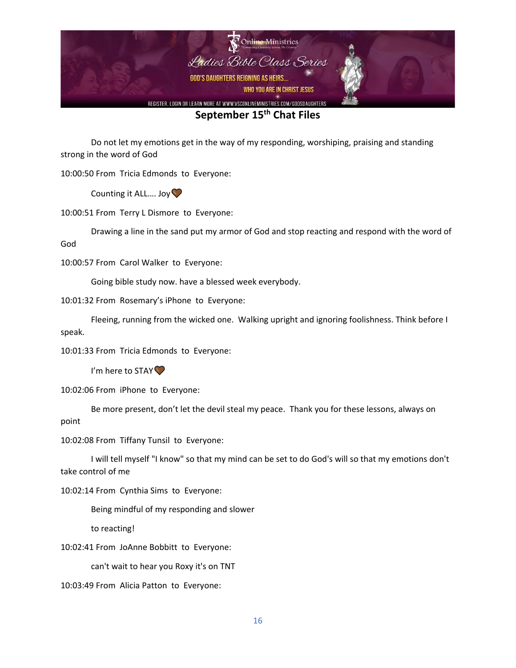

Do not let my emotions get in the way of my responding, worshiping, praising and standing strong in the word of God

10:00:50 From Tricia Edmonds to Everyone:

Counting it ALL.... Joy  $\heartsuit$ 

10:00:51 From Terry L Dismore to Everyone:

Drawing a line in the sand put my armor of God and stop reacting and respond with the word of God

10:00:57 From Carol Walker to Everyone:

Going bible study now. have a blessed week everybody.

10:01:32 From Rosemary's iPhone to Everyone:

Fleeing, running from the wicked one. Walking upright and ignoring foolishness. Think before I speak.

10:01:33 From Tricia Edmonds to Everyone:

I'm here to STAY<sup>O</sup>

10:02:06 From iPhone to Everyone:

Be more present, don't let the devil steal my peace. Thank you for these lessons, always on point

10:02:08 From Tiffany Tunsil to Everyone:

I will tell myself "I know" so that my mind can be set to do God's will so that my emotions don't take control of me

10:02:14 From Cynthia Sims to Everyone:

Being mindful of my responding and slower

to reacting!

10:02:41 From JoAnne Bobbitt to Everyone:

can't wait to hear you Roxy it's on TNT

10:03:49 From Alicia Patton to Everyone: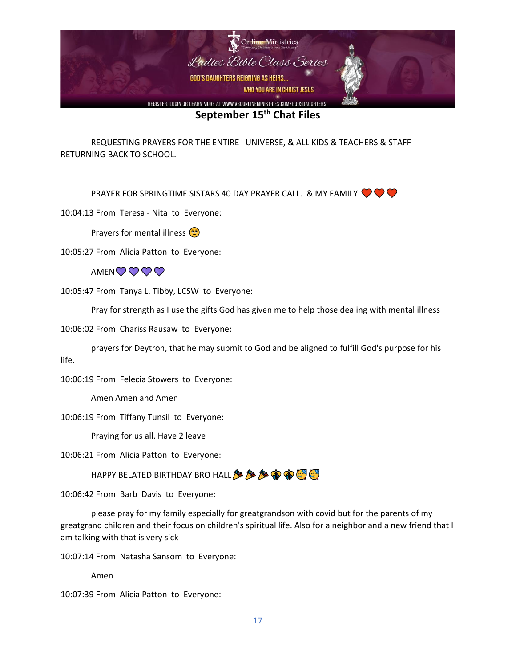

REQUESTING PRAYERS FOR THE ENTIRE UNIVERSE, & ALL KIDS & TEACHERS & STAFF RETURNING BACK TO SCHOOL.

PRAYER FOR SPRINGTIME SISTARS 40 DAY PRAYER CALL. & MY FAMILY.  $\bigcirc \bigcirc \bigcirc$ 

10:04:13 From Teresa - Nita to Everyone:

Prayers for mental illness (••

10:05:27 From Alicia Patton to Everyone:

AMENQQQ

10:05:47 From Tanya L. Tibby, LCSW to Everyone:

Pray for strength as I use the gifts God has given me to help those dealing with mental illness

10:06:02 From Chariss Rausaw to Everyone:

prayers for Deytron, that he may submit to God and be aligned to fulfill God's purpose for his life.

10:06:19 From Felecia Stowers to Everyone:

Amen Amen and Amen

10:06:19 From Tiffany Tunsil to Everyone:

Praying for us all. Have 2 leave

10:06:21 From Alicia Patton to Everyone:

HAPPY BELATED BIRTHDAY BRO HALL **& & & @ @ @** 

10:06:42 From Barb Davis to Everyone:

please pray for my family especially for greatgrandson with covid but for the parents of my greatgrand children and their focus on children's spiritual life. Also for a neighbor and a new friend that I am talking with that is very sick

10:07:14 From Natasha Sansom to Everyone:

Amen

10:07:39 From Alicia Patton to Everyone: